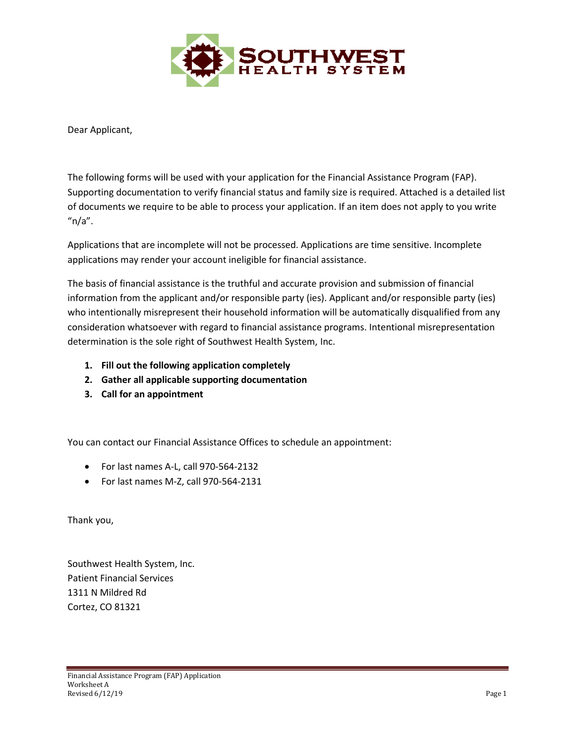

Dear Applicant,

The following forms will be used with your application for the Financial Assistance Program (FAP). Supporting documentation to verify financial status and family size is required. Attached is a detailed list of documents we require to be able to process your application. If an item does not apply to you write " $n/a$ ".

Applications that are incomplete will not be processed. Applications are time sensitive. Incomplete applications may render your account ineligible for financial assistance.

The basis of financial assistance is the truthful and accurate provision and submission of financial information from the applicant and/or responsible party (ies). Applicant and/or responsible party (ies) who intentionally misrepresent their household information will be automatically disqualified from any consideration whatsoever with regard to financial assistance programs. Intentional misrepresentation determination is the sole right of Southwest Health System, Inc.

- **1. Fill out the following application completely**
- **2. Gather all applicable supporting documentation**
- **3. Call for an appointment**

You can contact our Financial Assistance Offices to schedule an appointment:

- For last names A-L, call 970-564-2132
- For last names M-Z, call 970-564-2131

Thank you,

Southwest Health System, Inc. Patient Financial Services 1311 N Mildred Rd Cortez, CO 81321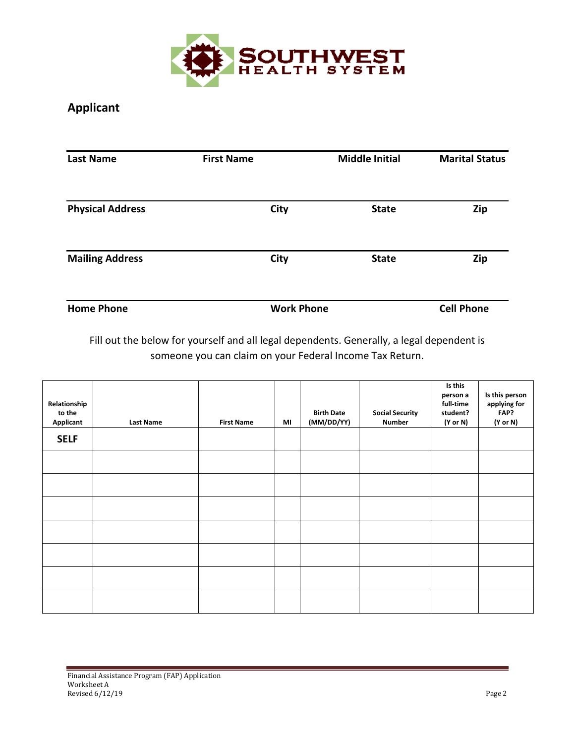

# **Applicant**

| <b>Last Name</b>        | <b>First Name</b> | <b>Middle Initial</b> | <b>Marital Status</b> |  |
|-------------------------|-------------------|-----------------------|-----------------------|--|
| <b>Physical Address</b> | <b>City</b>       | <b>State</b>          | Zip                   |  |
| <b>Mailing Address</b>  | <b>City</b>       | <b>State</b>          | Zip                   |  |
| <b>Home Phone</b>       | <b>Work Phone</b> |                       | <b>Cell Phone</b>     |  |

Fill out the below for yourself and all legal dependents. Generally, a legal dependent is someone you can claim on your Federal Income Tax Return.

| Relationship<br>to the<br>Applicant | <b>Last Name</b> | <b>First Name</b> | MI | <b>Birth Date</b><br>(MM/DD/YY) | <b>Social Security</b><br>Number | Is this<br>person a<br>full-time<br>student?<br>(Y or N) | Is this person<br>applying for<br>FAP?<br>(Y or N) |
|-------------------------------------|------------------|-------------------|----|---------------------------------|----------------------------------|----------------------------------------------------------|----------------------------------------------------|
| <b>SELF</b>                         |                  |                   |    |                                 |                                  |                                                          |                                                    |
|                                     |                  |                   |    |                                 |                                  |                                                          |                                                    |
|                                     |                  |                   |    |                                 |                                  |                                                          |                                                    |
|                                     |                  |                   |    |                                 |                                  |                                                          |                                                    |
|                                     |                  |                   |    |                                 |                                  |                                                          |                                                    |
|                                     |                  |                   |    |                                 |                                  |                                                          |                                                    |
|                                     |                  |                   |    |                                 |                                  |                                                          |                                                    |
|                                     |                  |                   |    |                                 |                                  |                                                          |                                                    |